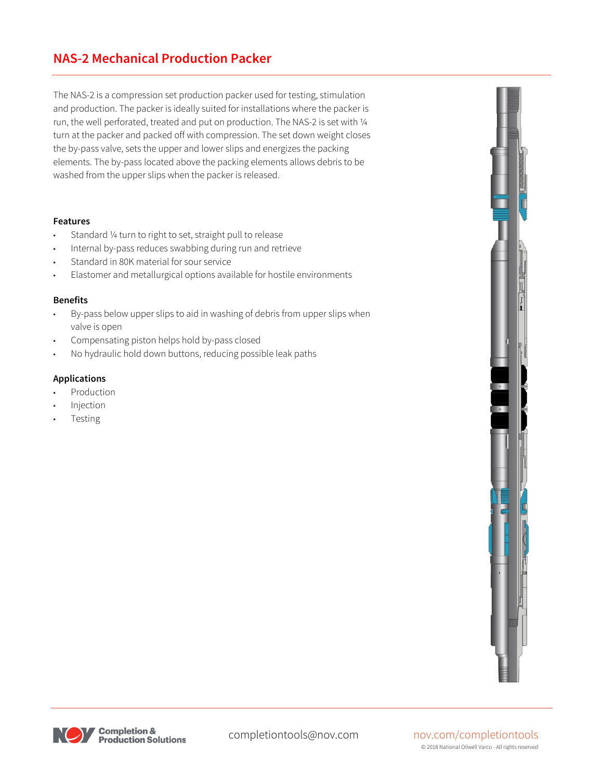### **NAS-2 Mechanical Production Packer**

The NAS-2 is a compression set production packer used for testing, stimulation and production. The packer is ideally suited for installations where the packer is run, the well perforated, treated and put on production. The NAS-2 is set with ¼ turn at the packer and packed off with compression. The set down weight closes the by-pass valve, sets the upper and lower slips and energizes the packing elements. The by-pass located above the packing elements allows debris to be washed from the upper slips when the packer is released.

#### **Features**

- Standard 1/4 turn to right to set, straight pull to release
- Internal by-pass reduces swabbing during run and retrieve
- Standard in 80K material for sour service
- Elastomer and metallurgical options available for hostile environments

#### **Benefits**

- By-pass below upper slips to aid in washing of debris from upper slips when valve is open
- Compensating piston helps hold by-pass closed
- No hydraulic hold down buttons, reducing possible leak paths

#### **Applications**

- **Production**
- **Injection**
- **Testing**





completiontools@nov.com nov.com/completiontools © 2018 National Oilwell Varco - All rights reserved